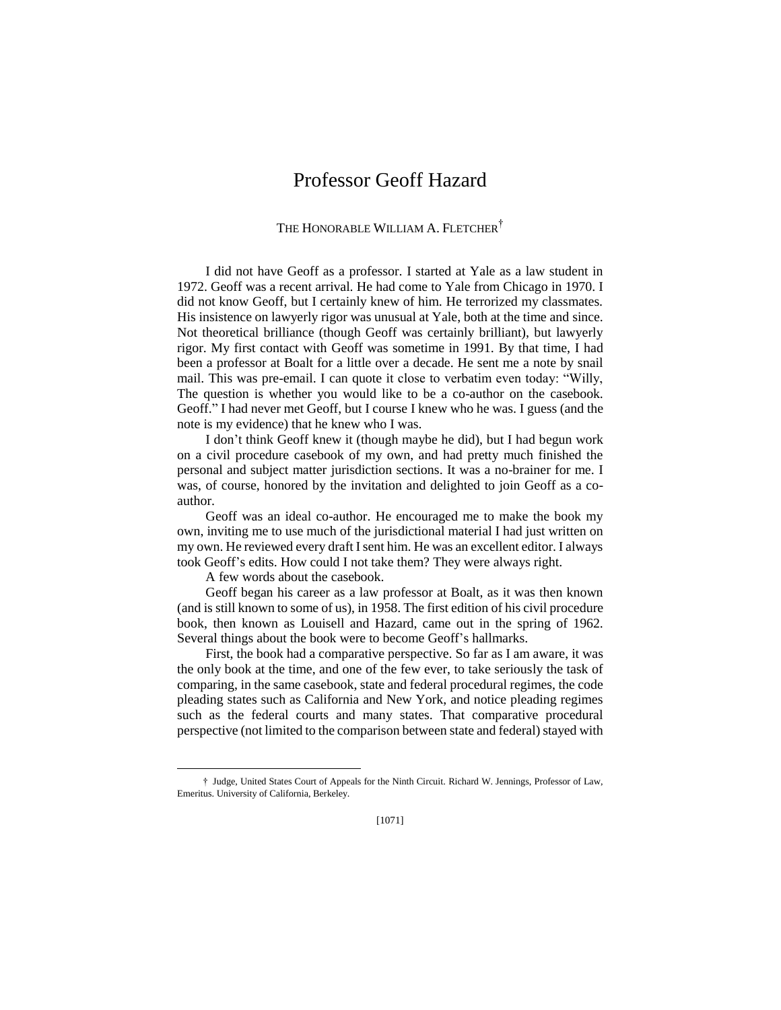## Professor Geoff Hazard

THE HONORABLE WILLIAM A. FLETCHER<sup>†</sup>

I did not have Geoff as a professor. I started at Yale as a law student in 1972. Geoff was a recent arrival. He had come to Yale from Chicago in 1970. I did not know Geoff, but I certainly knew of him. He terrorized my classmates. His insistence on lawyerly rigor was unusual at Yale, both at the time and since. Not theoretical brilliance (though Geoff was certainly brilliant), but lawyerly rigor. My first contact with Geoff was sometime in 1991. By that time, I had been a professor at Boalt for a little over a decade. He sent me a note by snail mail. This was pre-email. I can quote it close to verbatim even today: "Willy, The question is whether you would like to be a co-author on the casebook. Geoff." I had never met Geoff, but I course I knew who he was. I guess (and the note is my evidence) that he knew who I was.

I don't think Geoff knew it (though maybe he did), but I had begun work on a civil procedure casebook of my own, and had pretty much finished the personal and subject matter jurisdiction sections. It was a no-brainer for me. I was, of course, honored by the invitation and delighted to join Geoff as a coauthor.

Geoff was an ideal co-author. He encouraged me to make the book my own, inviting me to use much of the jurisdictional material I had just written on my own. He reviewed every draft I sent him. He was an excellent editor. I always took Geoff's edits. How could I not take them? They were always right.

A few words about the casebook.

 $\overline{a}$ 

Geoff began his career as a law professor at Boalt, as it was then known (and is still known to some of us), in 1958. The first edition of his civil procedure book, then known as Louisell and Hazard, came out in the spring of 1962. Several things about the book were to become Geoff's hallmarks.

First, the book had a comparative perspective. So far as I am aware, it was the only book at the time, and one of the few ever, to take seriously the task of comparing, in the same casebook, state and federal procedural regimes, the code pleading states such as California and New York, and notice pleading regimes such as the federal courts and many states. That comparative procedural perspective (not limited to the comparison between state and federal) stayed with

<sup>†</sup> Judge, United States Court of Appeals for the Ninth Circuit. Richard W. Jennings, Professor of Law, Emeritus. University of California, Berkeley.